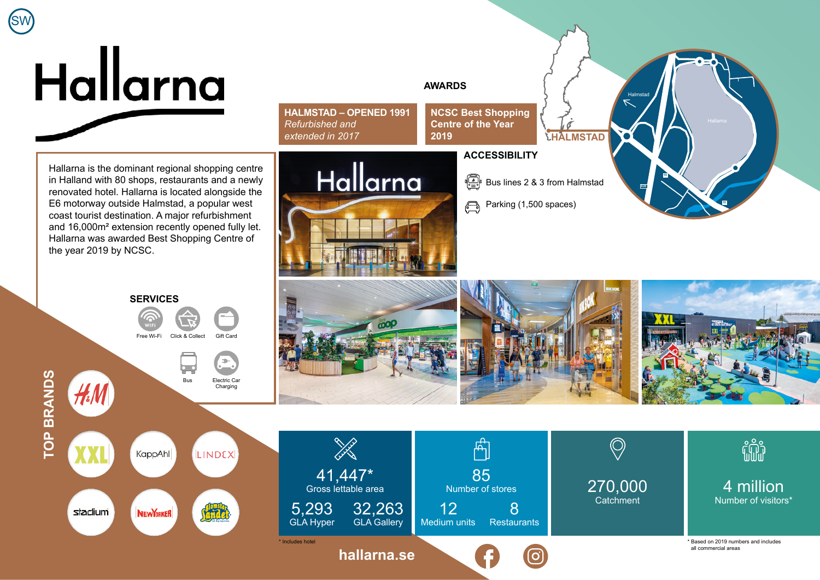

## **AWARDS**

**HALMSTAD – OPENED 1991**  *Refurbished and extended in 2017*

Hallarna

**NCSC Best Shopping Centre of the Year 2019**

## **ACCESSIBILITY**

∯∍ Bus lines 2 & 3 from Halmstad

**LHALMSTAD** 

Halmstad

**E20**

**15**

**15**

Parking (1,500 spaces)  $\bigoplus$ 

Hallarna is the dominant regional shopping centre in Halland with 80 shops, restaurants and a newly renovated hotel. Hallarna is located alongside the E6 motorway outside Halmstad, a popular west coast tourist destination. A major refurbishment and 16,000m² extension recently opened fully let. Hallarna was awarded Best Shopping Centre of the year 2019 by NCSC.